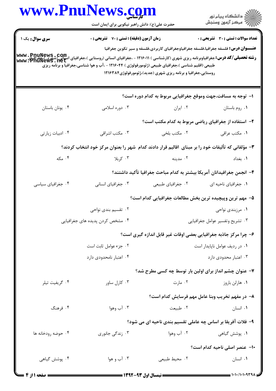|                    | www.PnuNews.com                                                                                                                                                                                                                                                |                                                                                                                                                              | الا دانشگاه پيام نور<br>  پر مرکز آزمون وسنجش |
|--------------------|----------------------------------------------------------------------------------------------------------------------------------------------------------------------------------------------------------------------------------------------------------------|--------------------------------------------------------------------------------------------------------------------------------------------------------------|-----------------------------------------------|
|                    | حضرت علی(ع): دانش راهبر نیکویی برای ایمان است                                                                                                                                                                                                                  |                                                                                                                                                              |                                               |
| سری سوال: یک ۱     | زمان آزمون (دقیقه) : تستی : 70 گشریحی : 0                                                                                                                                                                                                                      |                                                                                                                                                              | <b>تعداد سوالات : تستی : 30 ٪ تشریحی : 0</b>  |
|                    | <b>رشته تحصیلی/کد درس:</b> جغرافیاوبرنامه ریزی شهری (کارشناسی ) ۱۲۱۶۰۱۱ - ،جغرافیای انسانی (روستایی )، جغرافیای (شهری )،چغرافیای<br>Www . PnuNewS . net<br>طبیعی (اقلیم شناسی )،جغرافیای طبیعی (ژئومورفولوژی ) ۱۲۱۶۰۴۴ - ،آب و هوا شناسی،جغرافیا و برنامه ریزی | <b>عنـــوان درس:</b> فلسفه جغرافیا،فلسفه جغرافیاوجغرافیای کاربردی،فلسفه و سیر تکوین جغرافیا<br>روستایی،جغرافیا و برنامه ریزی شهری (جدید)،ژئومورفولوژی۱۲۱۶۳۸۴ |                                               |
|                    |                                                                                                                                                                                                                                                                | ۱– توجه به مسافت،جهت وموقع جغرافیایی مربوط به کدام دوره است؟                                                                                                 |                                               |
| ۰۴ يونان باستان    | ۰۳ دوره اسلامی                                                                                                                                                                                                                                                 | ۰۲ ایران                                                                                                                                                     | ٠١ روم باستان                                 |
|                    |                                                                                                                                                                                                                                                                | ۲- استفاده از جغرافیای ریاضی مربوط به کدام مکتب است؟                                                                                                         |                                               |
| ۰۴ ادبیات زیارتی   | ۰۳ مکتب اشراقی                                                                                                                                                                                                                                                 | ۰۲ مکتب بلخی                                                                                                                                                 | ۰۱ مکتب عراقی                                 |
|                    | ۳- مؤلفانی که تألیفات خود را بر مبنای اقالیم قرار دادند کدام شهر را بعنوان مرکز خود انتخاب کردند؟                                                                                                                                                              |                                                                                                                                                              |                                               |
| ۰۴ مکه             | ۰۳ کربلا                                                                                                                                                                                                                                                       | ۰۲ مدينه                                                                                                                                                     | ٠١. بغداد                                     |
|                    |                                                                                                                                                                                                                                                                | ۴– انجمن جغرافیدانان آمریکا بیشتر به کدام مباحث جغرافیا تأکید داشتند؟                                                                                        |                                               |
| ۰۴ جغرافیای سیاسی  | ۰۳ جغرافیای انسانی                                                                                                                                                                                                                                             | ۰۲ جغرافیای طبیعی                                                                                                                                            | ٠١ جغرافياي ناحيه اي                          |
|                    |                                                                                                                                                                                                                                                                | ۵– مهم ترین وپیچیده ترین بخش مطالعات جغرافیایی کدام است؟                                                                                                     |                                               |
|                    | ۰۲ تقسیم بندی نواح <sub>ی</sub>                                                                                                                                                                                                                                |                                                                                                                                                              | ۰۱ مرزبندی نواحی                              |
|                    | ۰۴ مشخص کردن پدیده های جغرافیایی                                                                                                                                                                                                                               |                                                                                                                                                              | ۰۳ تشريح وتفسير عوامل جغرافيايي               |
|                    |                                                                                                                                                                                                                                                                | ۶- چرا مرکز جاذبه جغرافیایی بعضی اوقات غیر قابل اندازه گیری است؟                                                                                             |                                               |
|                    | ۰۲ جزء عوامل ثابت است                                                                                                                                                                                                                                          |                                                                                                                                                              | ٠١ در رديف عوامل ناپايدار است                 |
|                    | ۰۴ اعتبار نامحدودی دارد                                                                                                                                                                                                                                        |                                                                                                                                                              | ۰۳ اعتبار محدودی دارد                         |
|                    |                                                                                                                                                                                                                                                                | ۷- عنوان چشم انداز برای اولین بار توسط چه کسی مطرح شد؟                                                                                                       |                                               |
| ۰۴ گريفيت تيلر     | ۰۳ کارل ساور                                                                                                                                                                                                                                                   | ۰۲ مارت                                                                                                                                                      | ۰۱ هارلن باروز                                |
|                    |                                                                                                                                                                                                                                                                | ٨– در مفهم تخريب وبنا عامل مهم فرسايش كدام است؟                                                                                                              |                                               |
| ۰۴ فرهنگ           | ۰۳ آب وهوا                                                                                                                                                                                                                                                     | ٠٢ طبيعت                                                                                                                                                     | ٠١. انسان                                     |
|                    |                                                                                                                                                                                                                                                                | ۹- فلات آفریقا بر اساس چه عاملی تقسیم بندی ناحیه ای می شود؟                                                                                                  |                                               |
| ۰۴ حوضه رودخانه ها | ۰۳ زندگی جانوری                                                                                                                                                                                                                                                | ۰۲ آب وهوا                                                                                                                                                   | ۰۱ پوشش گیاهی                                 |
|                    |                                                                                                                                                                                                                                                                |                                                                                                                                                              | <b>۱۰</b> عنصر اصلی ناحیه کدام است؟           |
|                    |                                                                                                                                                                                                                                                                |                                                                                                                                                              |                                               |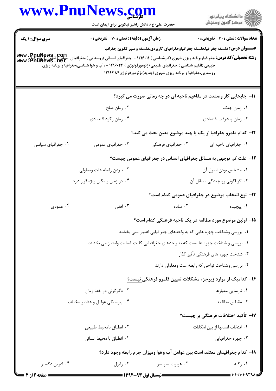| www.PnuNews.com                |                                                    |                                                                                                                                                                                                                                                                                                                                                                                                                            |                                              |  |
|--------------------------------|----------------------------------------------------|----------------------------------------------------------------------------------------------------------------------------------------------------------------------------------------------------------------------------------------------------------------------------------------------------------------------------------------------------------------------------------------------------------------------------|----------------------------------------------|--|
|                                | حضرت علی(ع): دانش راهبر نیکویی برای ایمان است      |                                                                                                                                                                                                                                                                                                                                                                                                                            | ڪ دانشڪاه پيام نور<br>/7 مرڪز آزمون وسنڊش    |  |
| <b>سری سوال : ۱ یک</b>         | <b>زمان آزمون (دقیقه) : تستی : 70 ٪ تشریحی : 0</b> |                                                                                                                                                                                                                                                                                                                                                                                                                            | <b>تعداد سوالات : تستی : 30 - تشریحی : 0</b> |  |
|                                |                                                    | <b>عنـــوان درس:</b> فلسفه جغرافیا،فلسفه جغرافیاوجغرافیای کاربردی،فلسفه و سیر تکوین جغرافیا<br><b>رشته تحصیلی/کد درس:</b> جغرافیاوبرنامه ریزی شهری (کارشناسی ) ۱۲۱۶۰۱۱ - ،جغرافیای انسانی (روستایی )،جغرافیای انسانی<br><b>www . PnuNewS . net</b><br>طبیعی (اقلیم شناسی )،جغرافیای طبیعی (ژئومورفولوژی ) ۱۲۱۶۰۴۴ - ،آب و هوا شناسی،جغرافیا و برنامه ریزی<br>روستایی،جغرافیا و برنامه ریزی شهری (جدید)،ژئومورفولوژی۱۲۱۶۳۸۴ |                                              |  |
|                                |                                                    | 11- جابجایی کار وصنعت در مفاهیم ناحیه ای در چه زمانی صورت می گیرد؟                                                                                                                                                                                                                                                                                                                                                         |                                              |  |
|                                | ۰۲ زمان صلح                                        |                                                                                                                                                                                                                                                                                                                                                                                                                            | ۰۱ زمان جنگ                                  |  |
|                                | ۰۴ زمان ركود اقتصادي                               |                                                                                                                                                                                                                                                                                                                                                                                                                            | ۰۳ زمان پیشرفت اقتصادی                       |  |
|                                |                                                    | <b>۱۲</b> – کدام قلمرو جغرافیا از یک یا چند موضوع معین بحث می کند؟                                                                                                                                                                                                                                                                                                                                                         |                                              |  |
| ۰۴ جغرافیای سیاسی              | ۰۳ جغرافیای عمومی                                  | ۰۲ جغرافیای فرهنگی                                                                                                                                                                                                                                                                                                                                                                                                         | ٠١ جغرافياي ناحيه اي                         |  |
|                                |                                                    | ۱۳- علت کم توجهی به مسائل جغرافیای انسانی در جغرافیای عمومی چیست؟                                                                                                                                                                                                                                                                                                                                                          |                                              |  |
|                                | ۰۲ نبودن رابطه علت ومعلولي                         | ٠١ مشخص بودن اصول آن                                                                                                                                                                                                                                                                                                                                                                                                       |                                              |  |
|                                | ۰۴ در زمان و مکان ویژه قرار دارد                   |                                                                                                                                                                                                                                                                                                                                                                                                                            | ۰۳ گوناگونی وپیچیدگی مسائل آن                |  |
|                                |                                                    | ۱۴– نوع انتخاب موضوع در جغرافیای عمومی کدام است؟                                                                                                                                                                                                                                                                                                                                                                           |                                              |  |
| ۰۴ عمودی                       | ۰۳ افقی                                            | ۰۲ ساده                                                                                                                                                                                                                                                                                                                                                                                                                    | ۰۱ پیچیده                                    |  |
|                                |                                                    | ۱۵– اولین موضوع مورد مطالعه در یک ناحیه فرهنگی کدام است؟                                                                                                                                                                                                                                                                                                                                                                   |                                              |  |
|                                |                                                    | ۰۱ بررسی وشناخت چهره هایی که به واحدهای جغرافیایی اعتبار نمی بخشند                                                                                                                                                                                                                                                                                                                                                         |                                              |  |
|                                |                                                    | ۲. بررسی و شناخت چهره ها یست که به واحدهای جغرافیایی کلیت. اصلیت وامتیاز می بخشند                                                                                                                                                                                                                                                                                                                                          |                                              |  |
|                                |                                                    |                                                                                                                                                                                                                                                                                                                                                                                                                            | ۰۳ شناخت چهره های فرهنگی تأثیر گذار          |  |
|                                |                                                    | ۰۴ بررسی وشناخت نواحی که رابطه علت ومعلولی دارند                                                                                                                                                                                                                                                                                                                                                                           |                                              |  |
|                                |                                                    | ۱۶– کدامیک از موارد زیرجزء مشکلات تعیین قلمرو فرهنگی نیست؟                                                                                                                                                                                                                                                                                                                                                                 |                                              |  |
| ۰۲ دگرگونی در خط زمان          |                                                    |                                                                                                                                                                                                                                                                                                                                                                                                                            | ۰۱ نارسایی معیارها                           |  |
| ۰۴ پیوستگی عوامل و عناصر مختلف |                                                    |                                                                                                                                                                                                                                                                                                                                                                                                                            | ۰۳ مقياس مطالعه                              |  |
|                                |                                                    |                                                                                                                                                                                                                                                                                                                                                                                                                            | ۱۷– تأکید اختلافات فرهنگی بر چیست؟           |  |
|                                | ۰۲ انطباق بامحيط طبيعي                             |                                                                                                                                                                                                                                                                                                                                                                                                                            | ٠١ انتخاب انسانها از بين امكانات             |  |
|                                | ۰۴ انطباق با محیط انسانی                           |                                                                                                                                                                                                                                                                                                                                                                                                                            | ۰۳ چهره جغرافیایی                            |  |
|                                |                                                    | ۱۸– کدام جغرافیدان معتقد است بین عوامل آب وهوا ومیزان جرم رابطه وجود دارد؟                                                                                                                                                                                                                                                                                                                                                 |                                              |  |
| ۰۴ ادوین دکستر                 | اتزل $\cdot$ ۳                                     | ۰۲ هربرت اسپنسر                                                                                                                                                                                                                                                                                                                                                                                                            | ۰۱ رکله                                      |  |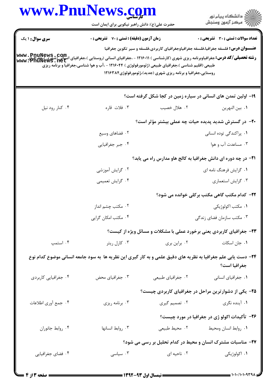|                        | حضرت علی(ع): دانش راهبر نیکویی برای ایمان است                                                                                                                                                                                                                               |                                                                       | ڪ دانشڪاه پيام نور<br>ر∕ آزمون وسنڊش                                                        |
|------------------------|-----------------------------------------------------------------------------------------------------------------------------------------------------------------------------------------------------------------------------------------------------------------------------|-----------------------------------------------------------------------|---------------------------------------------------------------------------------------------|
| <b>سری سوال : ۱ یک</b> | زمان آزمون (دقیقه) : تستی : 70 گشریحی : 0                                                                                                                                                                                                                                   |                                                                       | تعداد سوالات : تستي : 30 ٪ تشريحي : 0                                                       |
|                        | <b>رشته تحصیلی/کد درس:</b> جغرافیاوبرنامه ریزی شهری (کارشناسی ) ۱۲۱۶۰۱۱ - ،جغرافیای انسانی (روستایی )،جغرافیای (شهری )،چغرافیای www . PnuNews<br>www . PnuNews . Het<br>طبیعی (اقلیم شناسی )،جغرافیای طبیعی (ژئومورفولوژی ) ۱۲۱۶۰۴۴ - ،آب و هوا شناسی،جغرافیا و برنامه ریزی | روستایی،جغرافیا و برنامه ریزی شهری (جدید)،ژئومورفولوژی۱۲۱۶۳۸۴         | <b>عنـــوان درس:</b> فلسفه جغرافیا،فلسفه جغرافیاوجغرافیای کاربردی،فلسفه و سیر تکوین جغرافیا |
|                        |                                                                                                                                                                                                                                                                             |                                                                       | ۱۹- اولین تمدن های انسانی در سیاره زمین در کجا شکل گرفته است؟                               |
| ۰۴ کنار رود نيل        | ۰۳ فلات قاره                                                                                                                                                                                                                                                                | ٢. هلال خصيب                                                          | ٠١. بين النهرين                                                                             |
|                        |                                                                                                                                                                                                                                                                             |                                                                       | +۲- در گسترش شدید پدیده حیات چه عملی بیشتر مؤثر است؟                                        |
|                        | ۰۲ فضاهای وسیع                                                                                                                                                                                                                                                              |                                                                       | ۰۱ پراکندگی توده انسانی                                                                     |
|                        | ۰۴ جبر جغرافيايي                                                                                                                                                                                                                                                            |                                                                       | ۰۳ مساعدت آب و هوا                                                                          |
|                        |                                                                                                                                                                                                                                                                             |                                                                       | <b>۲۱</b> - در چه دوره ای دانش جغرافیا به کالج هاو مدارس راه می یابد؟                       |
|                        | ۰۲ گرایش آموزشی                                                                                                                                                                                                                                                             |                                                                       | ۰۱ گرایش فرهنگ نامه ای                                                                      |
|                        | ۰۴ گرايش تعميمي                                                                                                                                                                                                                                                             |                                                                       | ۰۳ گرايش استعماري                                                                           |
|                        |                                                                                                                                                                                                                                                                             |                                                                       | ۲۲- کدام مکتب گاهی مکتب برکلی خوانده می شود؟                                                |
|                        | ۰۲ مکتب چشم انداز                                                                                                                                                                                                                                                           |                                                                       | ۰۱ مکتب اکولوژیکی                                                                           |
|                        | ۰۴ مکتب امکان گرایی                                                                                                                                                                                                                                                         | ۰۳ مکتب سازمان فضای زندگی                                             |                                                                                             |
|                        |                                                                                                                                                                                                                                                                             | ۲۳- جغرافیای کاربردی یعنی برخورد عملی با مشکلات و مسائل ویژه از کیست؟ |                                                                                             |
| ۰۴ استمپ               | ۰۳ کارل ریتر                                                                                                                                                                                                                                                                | ۰۲ براین بری                                                          | ٠١ جان اسكات                                                                                |
|                        | ۲۴- دست یابی علم جغرافیا به نظریه های دقیق علمی و به کار گیری این نظریه ها به سود جامعه انسانی موضوع کدام نوع                                                                                                                                                               |                                                                       | جغرافيا است؟                                                                                |
| ۰۴ جغرافیایی کاربردی   | ۰۳ جغرافیای محض                                                                                                                                                                                                                                                             | ۰۲ جغرافیای طبیعی                                                     | ٠١ جغرافياي انساني                                                                          |
|                        |                                                                                                                                                                                                                                                                             | ۲۵– یکی از دشوارترین مراحل در جغرافیای کاربردی چیست؟                  |                                                                                             |
| ۰۴ جمع أوري اطلاعات    | ۰۳ برنامه ریزی                                                                                                                                                                                                                                                              |                                                                       |                                                                                             |
|                        |                                                                                                                                                                                                                                                                             |                                                                       | ۲۶– تأکیدات اکولو ژی در جغرافیا در مورد چیست؟                                               |
| ۰۴ روابط جانوران       | ۰۳ روابط انسانها                                                                                                                                                                                                                                                            | ٠٢ محيط طبيعي                                                         | ٠١ روابط انسان ومحيط                                                                        |
|                        |                                                                                                                                                                                                                                                                             | ۲۷- مناسبات مشترک انسان و محیط در کدام تحلیل بر رسی می شود؟           |                                                                                             |
|                        |                                                                                                                                                                                                                                                                             |                                                                       |                                                                                             |